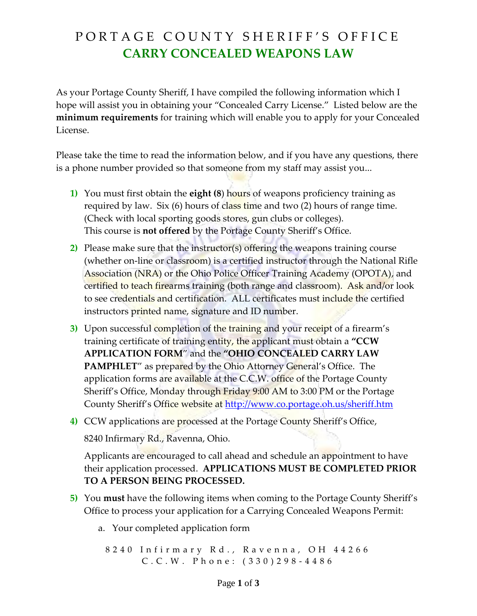## PORTAGE COUNTY SHERIFF'S OFFICE **CARRY CONCEALED WEAPONS LAW**

As your Portage County Sheriff, I have compiled the following information which I hope will assist you in obtaining your "Concealed Carry License." Listed below are the **minimum requirements** for training which will enable you to apply for your Concealed License.

Please take the time to read the information below, and if you have any questions, there is a phone number provided so that someone from my staff may assist you...

- **1)** You must first obtain the **eight (8**) hours of weapons proficiency training as required by law. Six  $(6)$  hours of class time and two  $(2)$  hours of range time. (Check with local sporting goods stores, gun clubs or colleges). This course is **not offered** by the Portage County Sheriff's Office.
- **2)** Please make sure that the instructor(s) offering the weapons training course (whether on-line or classroom) is a certified instructor through the National Rifle Association (NRA) or the Ohio Police Officer Training Academy (OPOTA), and certified to teach firearms training (both range and classroom). Ask and/or look to see credentials and certification. ALL certificates must include the certified instructors printed name, signature and ID number.
- **3)** Upon successful completion of the training and your receipt of a firearm's training certificate of training entity, the applicant must obtain a **"CCW APPLICATION FORM**" and the **"OHIO CONCEALED CARRY LAW PAMPHLET**" as prepared by the Ohio Attorney General's Office. The application forms are available at the C.C.W. office of the Portage County Sheriff's Office, Monday through Friday 9:00 AM to 3:00 PM or the Portage County Sheriff's Office website at <http://www.co.portage.oh.us/sheriff.htm>
- **4)** CCW applications are processed at the Portage County Sheriff's Office,

8240 Infirmary Rd., Ravenna, Ohio.

Applicants are encouraged to call ahead and schedule an appointment to have their application processed. **APPLICATIONS MUST BE COMPLETED PRIOR TO A PERSON BEING PROCESSED.**

- **5)** You **must** have the following items when coming to the Portage County Sheriff's Office to process your application for a Carrying Concealed Weapons Permit:
	- a. Your completed application form

8 2 4 0 I n f i r m a r y R d . , R a v e n n a , O H 4 4 2 6 6 C . C . W . P h o n e : ( 3 3 0 ) 2 9 8 - 4 4 8 6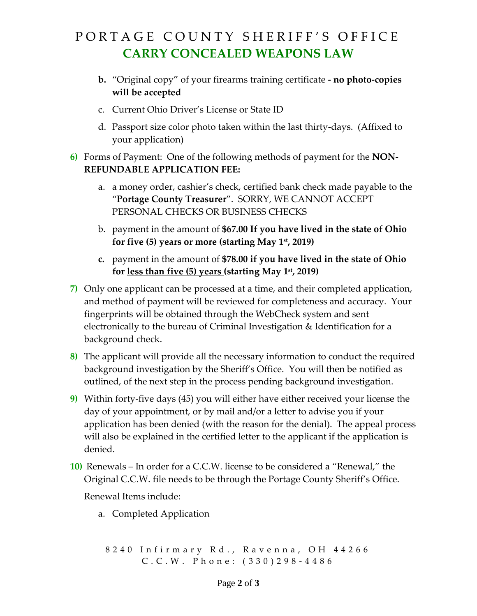## PORTAGE COUNTY SHERIFF'S OFFICE **CARRY CONCEALED WEAPONS LAW**

- **b.** "Original copy" of your firearms training certificate **- no photo-copies will be accepted**
- c. Current Ohio Driver's License or State ID
- d. Passport size color photo taken within the last thirty-days. (Affixed to your application)
- **6)** Forms of Payment: One of the following methods of payment for the **NON-REFUNDABLE APPLICATION FEE:** 
	- a. a money order, cashier's check, certified bank check made payable to the "**Portage County Treasurer**". SORRY, WE CANNOT ACCEPT PERSONAL CHECKS OR BUSINESS CHECKS
	- b. payment in the amount of **\$67.00 If you have lived in the state of Ohio for five (5) years or more (starting May 1st, 2019)**
	- **c.** payment in the amount of **\$78.00 if you have lived in the state of Ohio for less than five (5) years (starting May 1st, 2019)**
- **7)** Only one applicant can be processed at a time, and their completed application, and method of payment will be reviewed for completeness and accuracy. Your fingerprints will be obtained through the WebCheck system and sent electronically to the bureau of Criminal Investigation & Identification for a background check.
- **8)** The applicant will provide all the necessary information to conduct the required background investigation by the Sheriff's Office. You will then be notified as outlined, of the next step in the process pending background investigation.
- **9)** Within forty-five days (45) you will either have either received your license the day of your appointment, or by mail and/or a letter to advise you if your application has been denied (with the reason for the denial). The appeal process will also be explained in the certified letter to the applicant if the application is denied.
- **10)** Renewals In order for a C.C.W. license to be considered a "Renewal," the Original C.C.W. file needs to be through the Portage County Sheriff's Office. Renewal Items include:
	- a. Completed Application

```
8 2 4 0 I n f i r m a r y R d . , R a v e n n a , O H 4 4 2 6 6
C . C . W . P h o n e : ( 3 3 0 ) 2 9 8 - 4 4 8 6
```